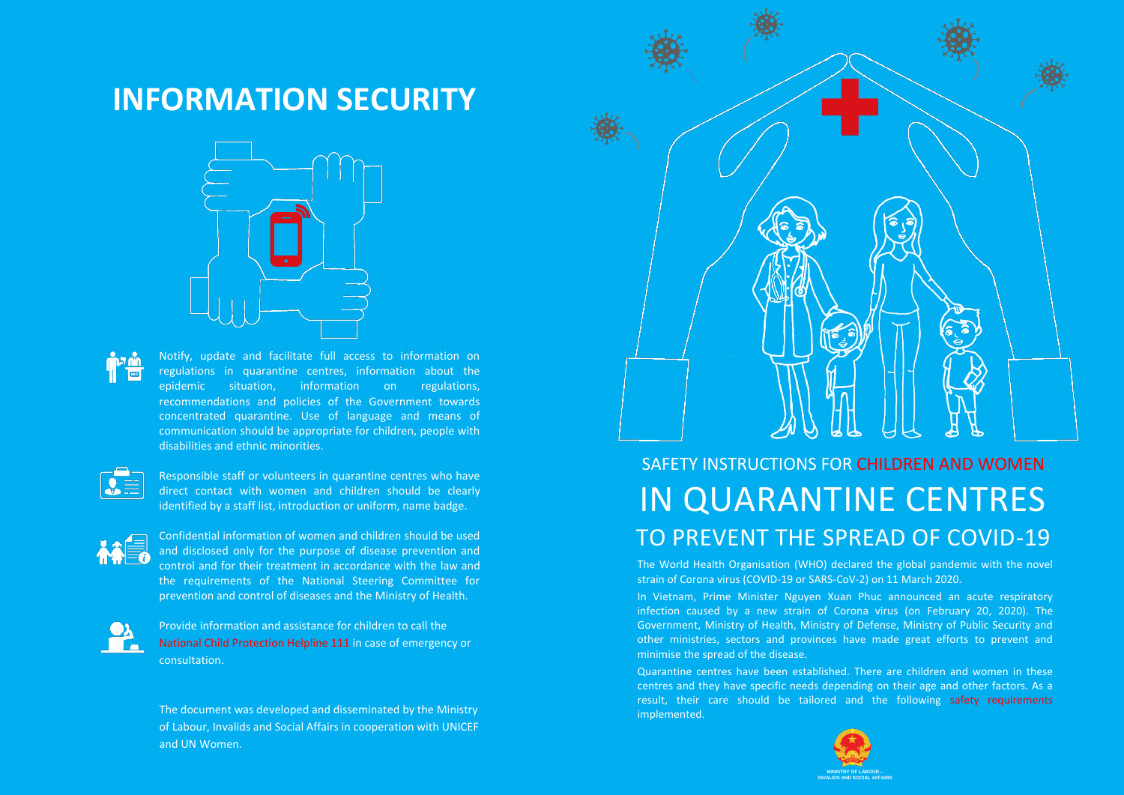The World Health Organisation (WHO) declared the global pandemic with the novel strain of Corona virus (COVID-19 or SARS-CoV-2) on 11 March 2020. In Vietnam, Prime Minister Nguyen Xuan Phuc announced an acute respiratory infection caused by a new strain of Corona virus (on February 20, 2020). The Government, Ministry of Health, Ministry of Defense, Ministry of Public Security and other ministries, sectors and provinces have made great efforts to prevent and minimise the spread of the disease.

Quarantine centres have been established. There are children and women in these centres and they have specific needs depending on their age and other factors. As a result, their care should be tailored and the following safety requirements implemented.





#### **INFORMATION SECURITY**



Notify, update and facilitate full access to information on regulations in quarantine centres, information about the epidemic situation, information on regulations, recommendations and policies of the Government towards concentrated quarantine. Use of language and means of communication should be appropriate for children, people with disabilities and ethnic minorities.



Responsible staff or volunteers in quarantine centres who have direct contact with women and children should be clearly identified by a staff list, introduction or uniform, name badge.



Confidential information of women and children should be used and disclosed only for the purpose of disease prevention and control and for their treatment in accordance with the law and the requirements of the National Steering Committee for prevention and control of diseases and the Ministry of Health.



Provide information and assistance for children to call the National Child Protection Helpline 111 in case of emergency or consultation.

The document was developed and disseminated by the Ministry of Labour, Invalids and Social Affairs in cooperation with UNICEF and UN Women.

#### SAFETY INSTRUCTIONS FOR CHILDREN AND WOMEN IN QUARANTINE CENTRES TO PREVENT THE SPREAD OF COVID-19